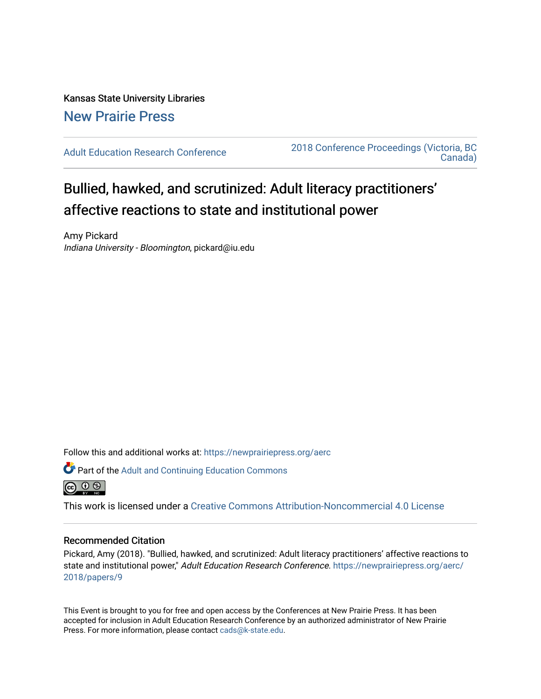## Kansas State University Libraries [New Prairie Press](https://newprairiepress.org/)

[Adult Education Research Conference](https://newprairiepress.org/aerc) [2018 Conference Proceedings \(Victoria, BC](https://newprairiepress.org/aerc/2018)  [Canada\)](https://newprairiepress.org/aerc/2018) 

# Bullied, hawked, and scrutinized: Adult literacy practitioners' affective reactions to state and institutional power

Amy Pickard Indiana University - Bloomington, pickard@iu.edu

Follow this and additional works at: [https://newprairiepress.org/aerc](https://newprairiepress.org/aerc?utm_source=newprairiepress.org%2Faerc%2F2018%2Fpapers%2F9&utm_medium=PDF&utm_campaign=PDFCoverPages)





This work is licensed under a [Creative Commons Attribution-Noncommercial 4.0 License](https://creativecommons.org/licenses/by-nc/4.0/)

#### Recommended Citation

Pickard, Amy (2018). "Bullied, hawked, and scrutinized: Adult literacy practitioners' affective reactions to state and institutional power," Adult Education Research Conference. [https://newprairiepress.org/aerc/](https://newprairiepress.org/aerc/2018/papers/9) [2018/papers/9](https://newprairiepress.org/aerc/2018/papers/9) 

This Event is brought to you for free and open access by the Conferences at New Prairie Press. It has been accepted for inclusion in Adult Education Research Conference by an authorized administrator of New Prairie Press. For more information, please contact [cads@k-state.edu.](mailto:cads@k-state.edu)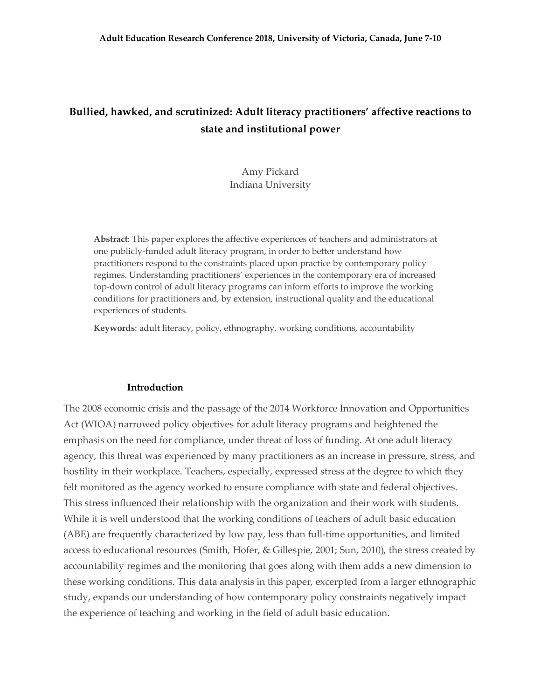## **Bullied, hawked, and scrutinized: Adult literacy practitioners' affective reactions to state and institutional power**

### Amy Pickard Indiana University

**Abstract**: This paper explores the affective experiences of teachers and administrators at one publicly-funded adult literacy program, in order to better understand how practitioners respond to the constraints placed upon practice by contemporary policy regimes. Understanding practitioners' experiences in the contemporary era of increased top-down control of adult literacy programs can inform efforts to improve the working conditions for practitioners and, by extension, instructional quality and the educational experiences of students.

**Keywords**: adult literacy, policy, ethnography, working conditions, accountability

#### **Introduction**

The 2008 economic crisis and the passage of the 2014 Workforce Innovation and Opportunities Act (WIOA) narrowed policy objectives for adult literacy programs and heightened the emphasis on the need for compliance, under threat of loss of funding. At one adult literacy agency, this threat was experienced by many practitioners as an increase in pressure, stress, and hostility in their workplace. Teachers, especially, expressed stress at the degree to which they felt monitored as the agency worked to ensure compliance with state and federal objectives. This stress influenced their relationship with the organization and their work with students. While it is well understood that the working conditions of teachers of adult basic education (ABE) are frequently characterized by low pay, less than full-time opportunities, and limited access to educational resources (Smith, Hofer, & Gillespie, 2001; Sun, 2010), the stress created by accountability regimes and the monitoring that goes along with them adds a new dimension to these working conditions. This data analysis in this paper, excerpted from a larger ethnographic study, expands our understanding of how contemporary policy constraints negatively impact the experience of teaching and working in the field of adult basic education.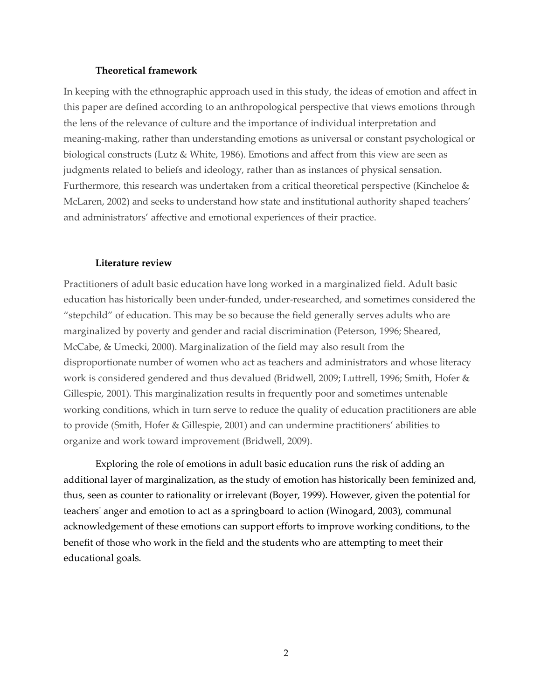#### **Theoretical framework**

In keeping with the ethnographic approach used in this study, the ideas of emotion and affect in this paper are defined according to an anthropological perspective that views emotions through the lens of the relevance of culture and the importance of individual interpretation and meaning-making, rather than understanding emotions as universal or constant psychological or biological constructs (Lutz & White, 1986). Emotions and affect from this view are seen as judgments related to beliefs and ideology, rather than as instances of physical sensation. Furthermore, this research was undertaken from a critical theoretical perspective (Kincheloe & McLaren, 2002) and seeks to understand how state and institutional authority shaped teachers' and administrators' affective and emotional experiences of their practice.

#### **Literature review**

Practitioners of adult basic education have long worked in a marginalized field. Adult basic education has historically been under-funded, under-researched, and sometimes considered the "stepchild" of education. This may be so because the field generally serves adults who are marginalized by poverty and gender and racial discrimination (Peterson, 1996; Sheared, McCabe, & Umecki, 2000). Marginalization of the field may also result from the disproportionate number of women who act as teachers and administrators and whose literacy work is considered gendered and thus devalued (Bridwell, 2009; Luttrell, 1996; Smith, Hofer & Gillespie, 2001). This marginalization results in frequently poor and sometimes untenable working conditions, which in turn serve to reduce the quality of education practitioners are able to provide (Smith, Hofer & Gillespie, 2001) and can undermine practitioners' abilities to organize and work toward improvement (Bridwell, 2009).

Exploring the role of emotions in adult basic education runs the risk of adding an additional layer of marginalization, as the study of emotion has historically been feminized and, thus, seen as counter to rationality or irrelevant (Boyer, 1999). However, given the potential for teachers' anger and emotion to act as a springboard to action (Winogard, 2003), communal acknowledgement of these emotions can support efforts to improve working conditions, to the benefit of those who work in the field and the students who are attempting to meet their educational goals.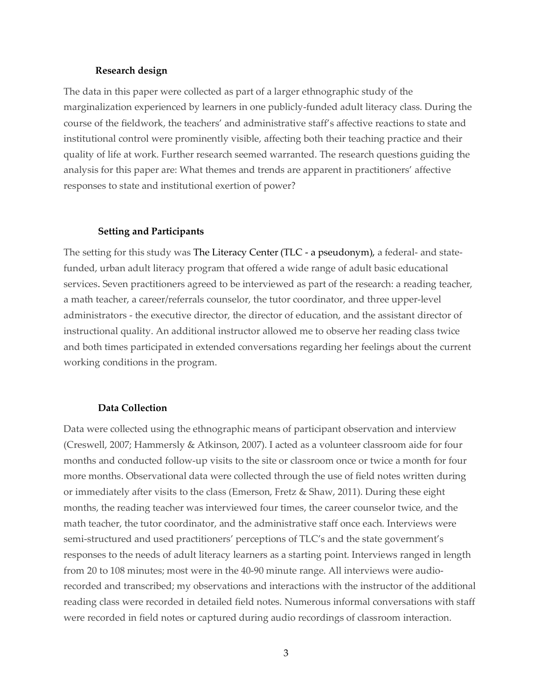#### **Research design**

The data in this paper were collected as part of a larger ethnographic study of the marginalization experienced by learners in one publicly-funded adult literacy class. During the course of the fieldwork, the teachers' and administrative staff's affective reactions to state and institutional control were prominently visible, affecting both their teaching practice and their quality of life at work. Further research seemed warranted. The research questions guiding the analysis for this paper are: What themes and trends are apparent in practitioners' affective responses to state and institutional exertion of power?

#### **Setting and Participants**

The setting for this study was The Literacy Center (TLC - a pseudonym), a federal- and statefunded, urban adult literacy program that offered a wide range of adult basic educational services. Seven practitioners agreed to be interviewed as part of the research: a reading teacher, a math teacher, a career/referrals counselor, the tutor coordinator, and three upper-level administrators - the executive director, the director of education, and the assistant director of instructional quality. An additional instructor allowed me to observe her reading class twice and both times participated in extended conversations regarding her feelings about the current working conditions in the program.

#### **Data Collection**

Data were collected using the ethnographic means of participant observation and interview (Creswell, 2007; Hammersly & Atkinson, 2007). I acted as a volunteer classroom aide for four months and conducted follow-up visits to the site or classroom once or twice a month for four more months. Observational data were collected through the use of field notes written during or immediately after visits to the class (Emerson, Fretz & Shaw, 2011). During these eight months, the reading teacher was interviewed four times, the career counselor twice, and the math teacher, the tutor coordinator, and the administrative staff once each. Interviews were semi-structured and used practitioners' perceptions of TLC's and the state government's responses to the needs of adult literacy learners as a starting point. Interviews ranged in length from 20 to 108 minutes; most were in the 40-90 minute range. All interviews were audiorecorded and transcribed; my observations and interactions with the instructor of the additional reading class were recorded in detailed field notes. Numerous informal conversations with staff were recorded in field notes or captured during audio recordings of classroom interaction.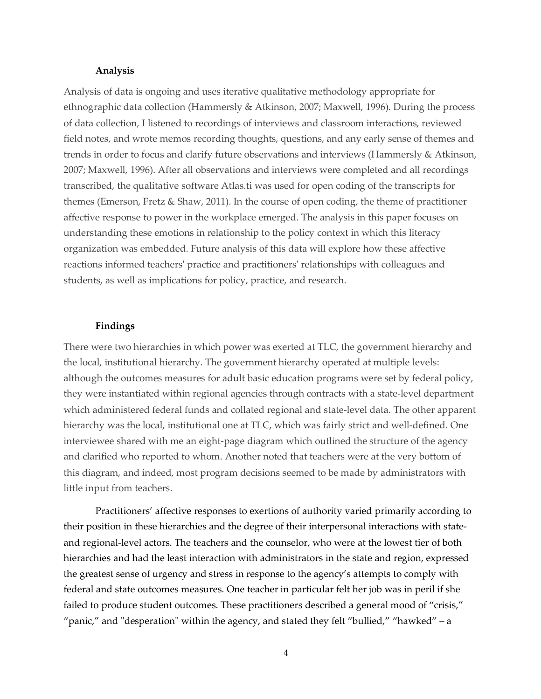#### **Analysis**

Analysis of data is ongoing and uses iterative qualitative methodology appropriate for ethnographic data collection (Hammersly & Atkinson, 2007; Maxwell, 1996). During the process of data collection, I listened to recordings of interviews and classroom interactions, reviewed field notes, and wrote memos recording thoughts, questions, and any early sense of themes and trends in order to focus and clarify future observations and interviews (Hammersly & Atkinson, 2007; Maxwell, 1996). After all observations and interviews were completed and all recordings transcribed, the qualitative software Atlas.ti was used for open coding of the transcripts for themes (Emerson, Fretz & Shaw, 2011). In the course of open coding, the theme of practitioner affective response to power in the workplace emerged. The analysis in this paper focuses on understanding these emotions in relationship to the policy context in which this literacy organization was embedded. Future analysis of this data will explore how these affective reactions informed teachers' practice and practitioners' relationships with colleagues and students, as well as implications for policy, practice, and research.

#### **Findings**

There were two hierarchies in which power was exerted at TLC, the government hierarchy and the local, institutional hierarchy. The government hierarchy operated at multiple levels: although the outcomes measures for adult basic education programs were set by federal policy, they were instantiated within regional agencies through contracts with a state-level department which administered federal funds and collated regional and state-level data. The other apparent hierarchy was the local, institutional one at TLC, which was fairly strict and well-defined. One interviewee shared with me an eight-page diagram which outlined the structure of the agency and clarified who reported to whom. Another noted that teachers were at the very bottom of this diagram, and indeed, most program decisions seemed to be made by administrators with little input from teachers.

Practitioners' affective responses to exertions of authority varied primarily according to their position in these hierarchies and the degree of their interpersonal interactions with stateand regional-level actors. The teachers and the counselor, who were at the lowest tier of both hierarchies and had the least interaction with administrators in the state and region, expressed the greatest sense of urgency and stress in response to the agency's attempts to comply with federal and state outcomes measures. One teacher in particular felt her job was in peril if she failed to produce student outcomes. These practitioners described a general mood of "crisis," "panic," and "desperation" within the agency, and stated they felt "bullied," "hawked" – a

4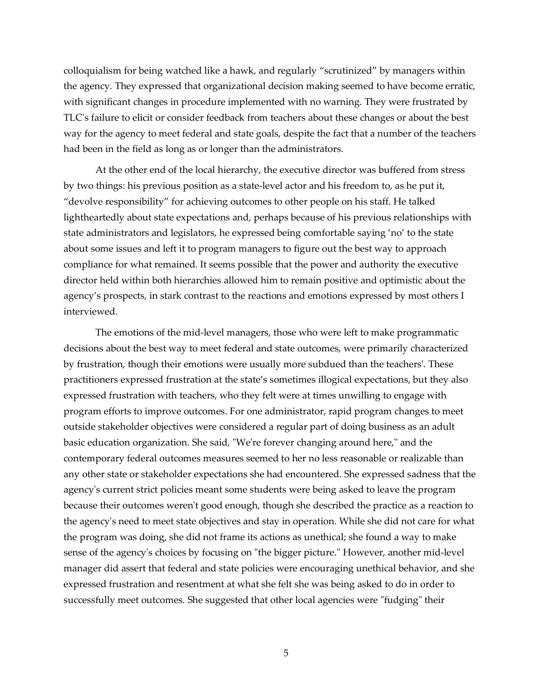colloquialism for being watched like a hawk, and regularly "scrutinized" by managers within the agency. They expressed that organizational decision making seemed to have become erratic, with significant changes in procedure implemented with no warning. They were frustrated by TLC's failure to elicit or consider feedback from teachers about these changes or about the best way for the agency to meet federal and state goals, despite the fact that a number of the teachers had been in the field as long as or longer than the administrators.

At the other end of the local hierarchy, the executive director was buffered from stress by two things: his previous position as a state-level actor and his freedom to, as he put it, "devolve responsibility" for achieving outcomes to other people on his staff. He talked lightheartedly about state expectations and, perhaps because of his previous relationships with state administrators and legislators, he expressed being comfortable saying 'no' to the state about some issues and left it to program managers to figure out the best way to approach compliance for what remained. It seems possible that the power and authority the executive director held within both hierarchies allowed him to remain positive and optimistic about the agency's prospects, in stark contrast to the reactions and emotions expressed by most others I interviewed.

The emotions of the mid-level managers, those who were left to make programmatic decisions about the best way to meet federal and state outcomes, were primarily characterized by frustration, though their emotions were usually more subdued than the teachers'. These practitioners expressed frustration at the state's sometimes illogical expectations, but they also expressed frustration with teachers, who they felt were at times unwilling to engage with program efforts to improve outcomes. For one administrator, rapid program changes to meet outside stakeholder objectives were considered a regular part of doing business as an adult basic education organization. She said, "We're forever changing around here," and the contemporary federal outcomes measures seemed to her no less reasonable or realizable than any other state or stakeholder expectations she had encountered. She expressed sadness that the agency's current strict policies meant some students were being asked to leave the program because their outcomes weren't good enough, though she described the practice as a reaction to the agency's need to meet state objectives and stay in operation. While she did not care for what the program was doing, she did not frame its actions as unethical; she found a way to make sense of the agency's choices by focusing on "the bigger picture." However, another mid-level manager did assert that federal and state policies were encouraging unethical behavior, and she expressed frustration and resentment at what she felt she was being asked to do in order to successfully meet outcomes. She suggested that other local agencies were "fudging" their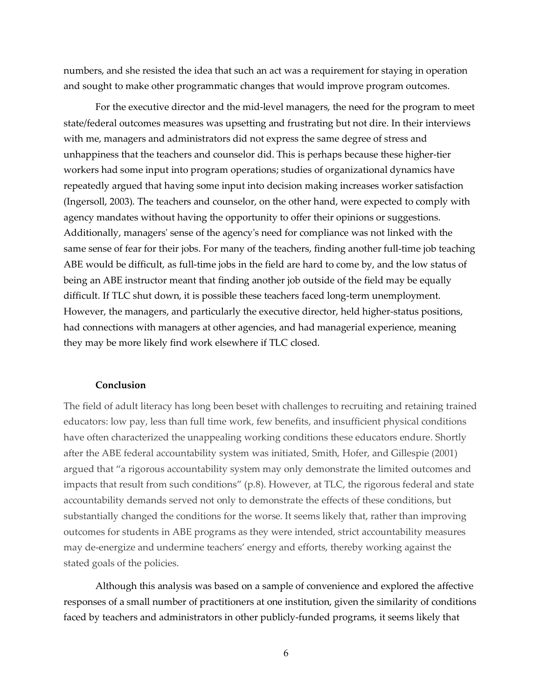numbers, and she resisted the idea that such an act was a requirement for staying in operation and sought to make other programmatic changes that would improve program outcomes.

For the executive director and the mid-level managers, the need for the program to meet state/federal outcomes measures was upsetting and frustrating but not dire. In their interviews with me, managers and administrators did not express the same degree of stress and unhappiness that the teachers and counselor did. This is perhaps because these higher-tier workers had some input into program operations; studies of organizational dynamics have repeatedly argued that having some input into decision making increases worker satisfaction (Ingersoll, 2003). The teachers and counselor, on the other hand, were expected to comply with agency mandates without having the opportunity to offer their opinions or suggestions. Additionally, managers' sense of the agency's need for compliance was not linked with the same sense of fear for their jobs. For many of the teachers, finding another full-time job teaching ABE would be difficult, as full-time jobs in the field are hard to come by, and the low status of being an ABE instructor meant that finding another job outside of the field may be equally difficult. If TLC shut down, it is possible these teachers faced long-term unemployment. However, the managers, and particularly the executive director, held higher-status positions, had connections with managers at other agencies, and had managerial experience, meaning they may be more likely find work elsewhere if TLC closed.

#### **Conclusion**

The field of adult literacy has long been beset with challenges to recruiting and retaining trained educators: low pay, less than full time work, few benefits, and insufficient physical conditions have often characterized the unappealing working conditions these educators endure. Shortly after the ABE federal accountability system was initiated, Smith, Hofer, and Gillespie (2001) argued that "a rigorous accountability system may only demonstrate the limited outcomes and impacts that result from such conditions" (p.8). However, at TLC, the rigorous federal and state accountability demands served not only to demonstrate the effects of these conditions, but substantially changed the conditions for the worse. It seems likely that, rather than improving outcomes for students in ABE programs as they were intended, strict accountability measures may de-energize and undermine teachers' energy and efforts, thereby working against the stated goals of the policies.

Although this analysis was based on a sample of convenience and explored the affective responses of a small number of practitioners at one institution, given the similarity of conditions faced by teachers and administrators in other publicly-funded programs, it seems likely that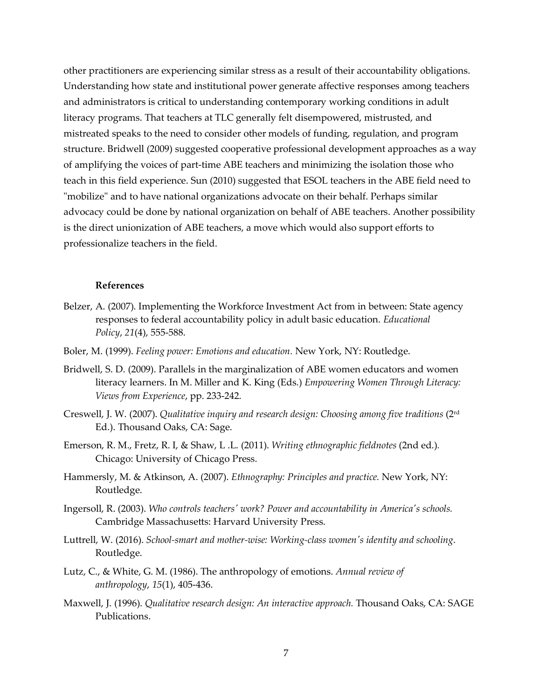other practitioners are experiencing similar stress as a result of their accountability obligations. Understanding how state and institutional power generate affective responses among teachers and administrators is critical to understanding contemporary working conditions in adult literacy programs. That teachers at TLC generally felt disempowered, mistrusted, and mistreated speaks to the need to consider other models of funding, regulation, and program structure. Bridwell (2009) suggested cooperative professional development approaches as a way of amplifying the voices of part-time ABE teachers and minimizing the isolation those who teach in this field experience. Sun (2010) suggested that ESOL teachers in the ABE field need to "mobilize" and to have national organizations advocate on their behalf. Perhaps similar advocacy could be done by national organization on behalf of ABE teachers. Another possibility is the direct unionization of ABE teachers, a move which would also support efforts to professionalize teachers in the field.

#### **References**

- Belzer, A. (2007). Implementing the Workforce Investment Act from in between: State agency responses to federal accountability policy in adult basic education. *Educational Policy*, *21*(4), 555-588.
- Boler, M. (1999). *Feeling power: Emotions and education.* New York, NY: Routledge.
- Bridwell, S. D. (2009). Parallels in the marginalization of ABE women educators and women literacy learners. In M. Miller and K. King (Eds.) *Empowering Women Through Literacy: Views from Experience*, pp. 233-242.
- Creswell, J. W. (2007). *Qualitative inquiry and research design: Choosing among five traditions* (2rd Ed.). Thousand Oaks, CA: Sage.
- Emerson, R. M., Fretz, R. I, & Shaw, L .L. (2011). *Writing ethnographic fieldnotes* (2nd ed.)*.* Chicago: University of Chicago Press.
- Hammersly, M. & Atkinson, A. (2007). *Ethnography: Principles and practice.* New York, NY: Routledge.
- Ingersoll, R. (2003). *Who controls teachers' work? Power and accountability in America's schools.* Cambridge Massachusetts: Harvard University Press.
- Luttrell, W. (2016). *School-smart and mother-wise: Working-class women's identity and schooling*. Routledge.
- Lutz, C., & White, G. M. (1986). The anthropology of emotions. *Annual review of anthropology*, *15*(1), 405-436.
- Maxwell, J. (1996). *Qualitative research design: An interactive approach.* Thousand Oaks, CA: SAGE Publications.